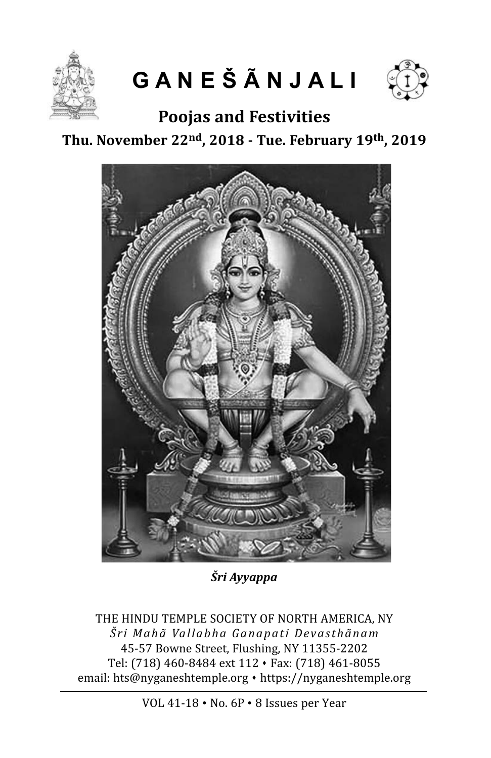

**G A N E Š Ã N J A L I**



**Poojas and Festivities**

### **Thu. November 22nd, 2018 - Tue. February 19th, 2019**



*Šri Ayyappa*

THE HINDU TEMPLE SOCIETY OF NORTH AMERICA, NY *Šri Mahã Vallabha Ganapati Devasthãnam* 45-57 Bowne Street, Flushing, NY 11355-2202 Tel: (718) 460-8484 ext 112 · Fax: (718) 461-8055 email: hts@nyganeshtemple.org • https://nyganeshtemple.org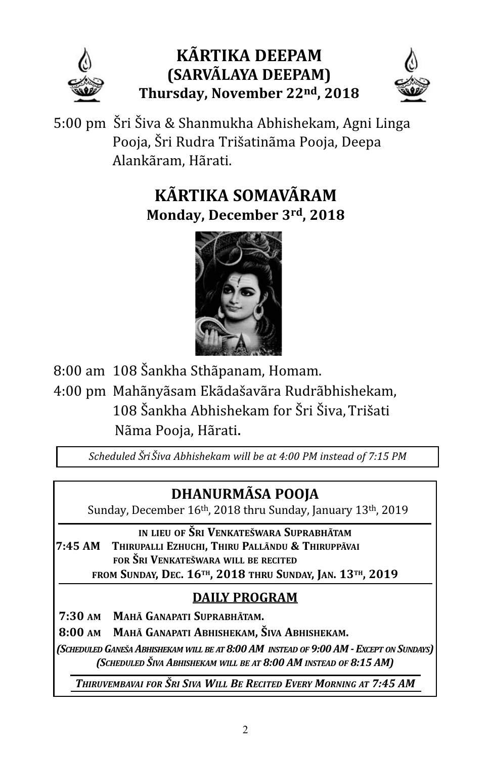

## **kÃRTikA DeePAM (SARVÃlAyA DeePAM) Thursday, November 22nd, 2018**



5:00 pm Šri Šiva & Shanmukha Abhishekam, Agni Linga Pooja, Šri Rudra Trišatinãma Pooja, Deepa Alankãram, Hãrati.

# **kÃRTikA SOMAVÃRAM Monday, December 3rd, 2018**



8:00 am 108 Šankha Sthãpanam, Homam. 4:00 pm Mahãnyãsam Ekãdašavãra Rudrãbhishekam, 108 Šankha Abhishekam for Šri Šiva, Trišati Nãma Pooja, Hãrati.

*Scheduled Šri Šiva Abhishekam will be at 4:00 PM instead of 7:15 PM* 

# **DHANURMÃSA POOJA**

Sunday, December 16th, 2018 thru Sunday, January 13th, 2019

**iN lieU OF ŠRi VeNkATeŠwARA SUPRAbHÃTAM 7:45 AM THiRUPAlli ezHUcHi, THiRU PAllÃNDU & THiRUPPÃVAi FOR ŠRi VeNkATeŠwARA will be ReciTeD FROM SUNDAy, Dec. 16TH, 2018 THRU SUNDAy, JAN. 13TH, 2019**

### **DAily PROGRAM**

**7:30 AM MAHÃ GANAPATi SUPRAbHÃTAM.**

**8:00 AM MAHÃ GANAPATi AbHiSHekAM, ŠiVA AbHiSHekAM.**

*(Scheduled GAneŠA AbhiShekAm will be At 8:00 Am inSteAd of 9:00 Am - except on SundAyS) (Scheduled ŠivA AbhiShekAm will be At 8:00 Am inSteAd of 8:15 Am)*

*thiruvembAvAi for Šri SivA will be recited every morninG At 7:45 Am*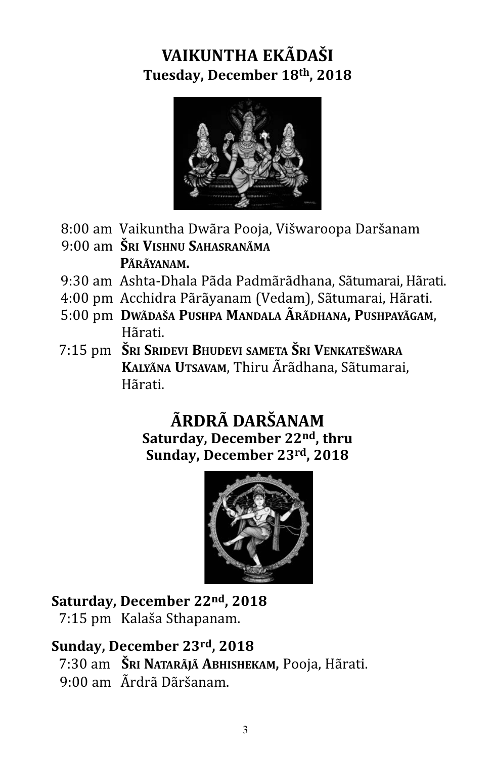# **VAikUNTHA ekÃDAŠi Tuesday, December 18th, 2018**



- 8:00 am Vaikuntha Dwãra Pooja, Višwaroopa Daršanam
- 9:00 am **ŠRi ViSHNU SAHASRANÃMA PÃRÃyANAM.**
- 9:30 am Ashta-Dhala Pãda Padmãrãdhana, Sãtumarai, Hãrati.
- 4:00 pm Acchidra Pãrãyanam (Vedam), Sãtumarai, Hãrati.
- 5:00 pm **DwÃDAŠA PUSHPA MANDAlA ÃRÃDHANA, PUSHPAyÃGAM**, Hãrati.
- 7:15 pm **ŠRi SRiDeVi bHUDeVi SAMeTA ŠRi VeNkATeŠwARA kAlyÃNA UTSAVAM**, Thiru Ãrãdhana, Sãtumarai, Hãrati.

### **ÃRDRÃ DARŠANAM Saturday, December 22nd, thru Sunday, December 23rd, 2018**



#### **Saturday, December 22nd, 2018**

7:15 pm Kalaša Sthapanam.

### **Sunday, December 23rd, 2018**

- 7:30 am **ŠRi NATARÃJÃ AbHiSHekAM,** Pooja, Hãrati.
- 9:00 am Ãrdrã Dãršanam.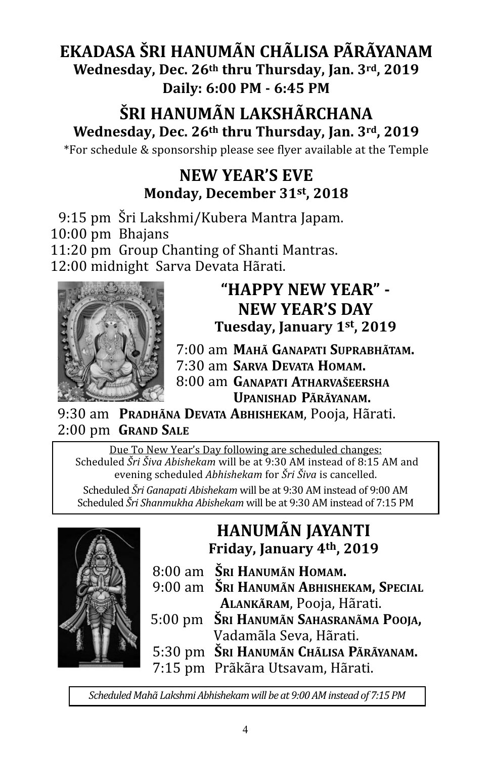### **ekADASA ŠRi HANUMÃN cHÃliSA PÃRÃyANAM wednesday, Dec. 26th thru Thursday, Jan. 3rd, 2019 Daily: 6:00 PM - 6:45 PM**

# **ŠRi HANUMÃN lAkSHÃRcHANA wednesday, Dec. 26th thru Thursday, Jan. 3rd, 2019**

\*For schedule & sponsorship please see flyer available at the Temple

### **New yeAR'S eVe Monday, December 31st, 2018**

9:15 pm Šri Lakshmi/Kubera Mantra Japam. 10:00 pm Bhajans 11:20 pm Group Chanting of Shanti Mantras.

12:00 midnight Sarva Devata Hãrati.



#### **"HAPPy New yeAR" - New yeAR'S DAy Tuesday, January 1st, 2019**

7:00 am **MAHÃ GANAPATi SUPRAbHÃTAM.**

7:30 am **SARVA DeVATA HOMAM.**

8:00 am **GANAPATi ATHARVAŠeeRSHA UPANiSHAD PÃRÃyANAM.**

9:30 am **PRADHÃNA DeVATA AbHiSHekAM**, Pooja, Hãrati. 2:00 pm **GRAND SAle**

Due To New Year's Day following are scheduled changes: Scheduled *Šri Šiva Abishekam* will be at 9:30 AM instead of 8:15 AM and evening scheduled *Abhishekam* for *Šri Šiva* is cancelled.

Scheduled *Šri Ganapati Abishekam* will be at 9:30 AM instead of 9:00 AM Scheduled *Šri Shanmukha Abishekam* will be at 9:30 AM instead of 7:15 PM



### **HANUMÃN JAyANTi Friday, January 4th, 2019**

- 8:00 am **ŠRi HANUMÃN HOMAM.**
- 9:00 am **ŠRi HANUMÃN AbHiSHekAM, SPeciAl AlANkÃRAM**, Pooja, Hãrati.
- 5:00 pm **ŠRi HANUMÃN SAHASRANÃMA POOJA,**  Vadamãla Seva, Hãrati.
- 5:30 pm **ŠRi HANUMÃN cHÃliSA PÃRÃyANAM.**
- 7:15 pm Prãkãra Utsavam, Hãrati.

*Scheduled Mahã Lakshmi Abhishekam will be at 9:00 AM instead of 7:15 PM*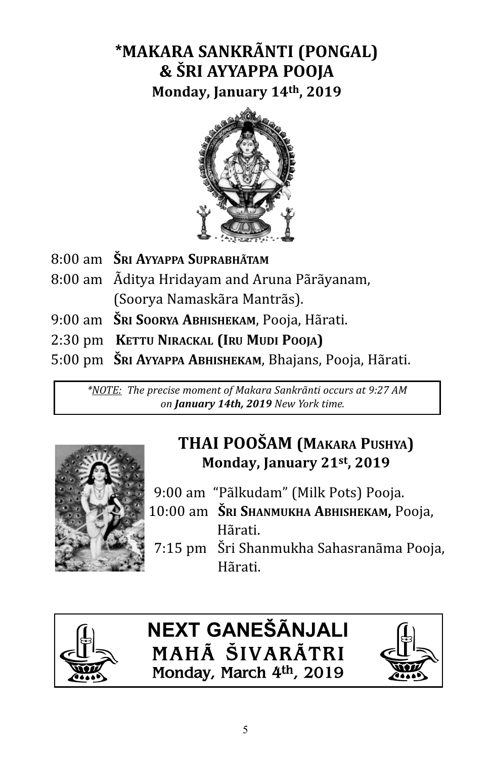# **\*MAkARA SANkRÃNTi (PONGAl) & ŠRi AyyAPPA POOJA**

**Monday, January 14th, 2019**



- 8:00 am **ŠRi AyyAPPA SUPRAbHÃTAM**
- 8:00 am Ãditya Hridayam and Aruna Pãrãyanam, (Soorya Namaskãra Mantrãs).
- 9:00 am **ŠRi SOORyA AbHiSHekAM**, Pooja, Hãrati.
- 2:30 pm **keTTU NiRAckAl (iRU MUDi POOJA)**
- 5:00 pm **ŠRi AyyAPPA AbHiSHekAM**, Bhajans, Pooja, Hãrati.

*\*NOTE: The precise moment of Makara Sankrãnti occurs at 9:27 AM on January 14th, 2019 New York time.* 



# **THAi POOŠAM (MAkARA PUSHyA) Monday, January 21st, 2019**

- 9:00 am "Pãlkudam" (Milk Pots) Pooja.
- 10:00 am **ŠRi SHANMUkHA AbHiSHekAM,** Pooja, Hãrati.
	- 7:15 pm Šri Shanmukha Sahasranãma Pooja, Hãrati.



**NEXT GANEŠÃNJALI MAHÃ ŠIVARÃTRI Monday, March 4th, 2019**

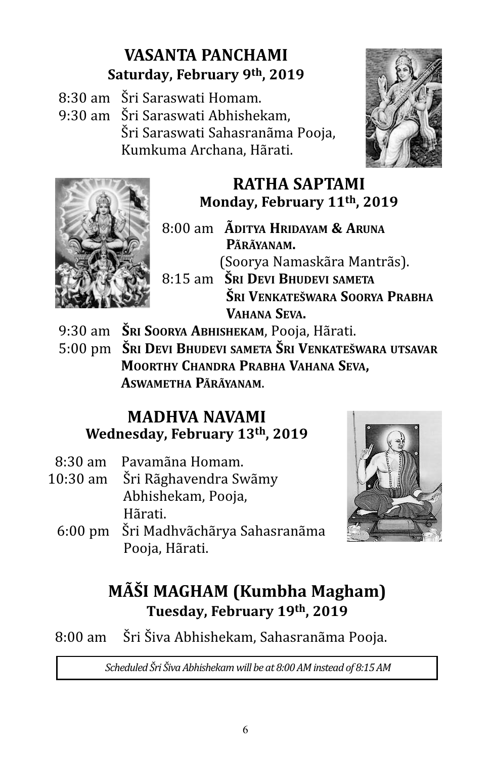# **VASANTA PANcHAMi Saturday, February 9th, 2019**

- 8:30 am Šri Saraswati Homam.
- 9:30 am Šri Saraswati Abhishekam, Šri Saraswati Sahasranãma Pooja, Kumkuma Archana, Hãrati.





# **RATHA SAPTAMi Monday, February 11th, 2019**

- 8:00 am **ÃDiTyA HRiDAyAM & ARUNA PÃRÃyANAM.**  (Soorya Namaskãra Mantrãs). 8:15 am **ŠRi DeVi bHUDeVi SAMeTA**
	- **ŠRi VeNkATeŠwARA SOORyA PRAbHA VAHANA SeVA.**
- 9:30 am **ŠRi SOORyA AbHiSHekAM**, Pooja, Hãrati.
- 5:00 pm **ŠRi DeVi bHUDeVi SAMeTA ŠRi VeNkATeŠwARA UTSAVAR MOORTHy cHANDRA PRAbHA VAHANA SeVA, ASwAMeTHA PÃRÃyANAM**.

### **MADHVA NAVAMi wednesday, February 13th, 2019**

- 8:30 am Pavamãna Homam.
- 10:30 am Šri Rãghavendra Swãmy Abhishekam, Pooja, Hãrati.
	- 6:00 pm Šri Madhvãchãrya Sahasranãma Pooja, Hãrati.



# **MÊi MAGHAM (kumbha Magham) Tuesday, February 19th, 2019**

8:00 am Šri Šiva Abhishekam, Sahasranãma Pooja.

*Scheduled Šri Šiva Abhishekam will be at 8:00 AM instead of 8:15 AM*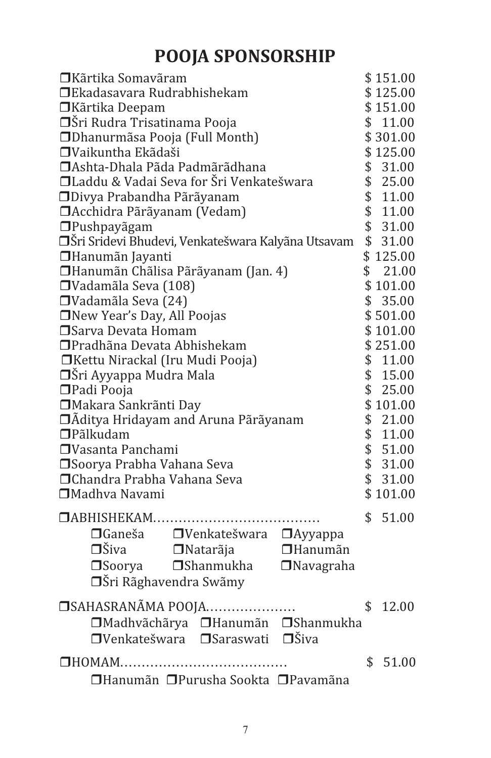# **POOJA SPONSORSHIP**

| \$151.00<br>\$125.00<br>□Ekadasavara Rudrabhishekam<br>\$151.00<br>□Kãrtika Deepam<br>□Šri Rudra Trisatinama Pooja<br>\$11.00<br>□ Dhanurmãsa Pooja (Full Month)<br>\$301.00<br>□Vaikuntha Ekãdaši<br>\$125.00<br>□ Ashta-Dhala Pãda Padmãrãdhana<br>\$31.00<br>□Laddu & Vadai Seva for Šri Venkatešwara<br>\$25.00<br>\$11.00<br>□Divya Prabandha Pãrãyanam<br>\$11.00<br>□ Acchidra Pãrãyanam (Vedam)<br>\$31.00<br>□Pushpayãgam<br>\$31.00<br>□Šri Sridevi Bhudevi, Venkatešwara Kalyãna Utsavam |
|-----------------------------------------------------------------------------------------------------------------------------------------------------------------------------------------------------------------------------------------------------------------------------------------------------------------------------------------------------------------------------------------------------------------------------------------------------------------------------------------------------|
|                                                                                                                                                                                                                                                                                                                                                                                                                                                                                                     |
|                                                                                                                                                                                                                                                                                                                                                                                                                                                                                                     |
|                                                                                                                                                                                                                                                                                                                                                                                                                                                                                                     |
|                                                                                                                                                                                                                                                                                                                                                                                                                                                                                                     |
|                                                                                                                                                                                                                                                                                                                                                                                                                                                                                                     |
|                                                                                                                                                                                                                                                                                                                                                                                                                                                                                                     |
|                                                                                                                                                                                                                                                                                                                                                                                                                                                                                                     |
|                                                                                                                                                                                                                                                                                                                                                                                                                                                                                                     |
|                                                                                                                                                                                                                                                                                                                                                                                                                                                                                                     |
|                                                                                                                                                                                                                                                                                                                                                                                                                                                                                                     |
|                                                                                                                                                                                                                                                                                                                                                                                                                                                                                                     |
| \$125.00<br>□Hanumãn Jayanti                                                                                                                                                                                                                                                                                                                                                                                                                                                                        |
| \$21.00<br>□Hanumãn Chãlisa Pãrãyanam (Jan. 4)                                                                                                                                                                                                                                                                                                                                                                                                                                                      |
| □Vadamãla Seva (108)<br>\$101.00                                                                                                                                                                                                                                                                                                                                                                                                                                                                    |
| \$35.00<br>$\Box$ Vadamãla Seva (24)                                                                                                                                                                                                                                                                                                                                                                                                                                                                |
| □New Year's Day, All Poojas<br>\$501.00                                                                                                                                                                                                                                                                                                                                                                                                                                                             |
| □ Sarva Devata Homam<br>\$101.00                                                                                                                                                                                                                                                                                                                                                                                                                                                                    |
| □ Pradhãna Devata Abhishekam<br>\$251.00                                                                                                                                                                                                                                                                                                                                                                                                                                                            |
| \$11.00<br>□Kettu Nirackal (Iru Mudi Pooja)                                                                                                                                                                                                                                                                                                                                                                                                                                                         |
| \$15.00<br>□Šri Ayyappa Mudra Mala                                                                                                                                                                                                                                                                                                                                                                                                                                                                  |
| \$25.00<br>□Padi Pooja                                                                                                                                                                                                                                                                                                                                                                                                                                                                              |
| \$101.00<br>□ Makara Sankrãnti Day                                                                                                                                                                                                                                                                                                                                                                                                                                                                  |
| \$21.00<br>□Ãditya Hridayam and Aruna Pãrãyanam                                                                                                                                                                                                                                                                                                                                                                                                                                                     |
| \$11.00<br>$\Box$ Pãlkudam                                                                                                                                                                                                                                                                                                                                                                                                                                                                          |
| \$51.00<br>□Vasanta Panchami                                                                                                                                                                                                                                                                                                                                                                                                                                                                        |
| \$31.00<br>□Soorya Prabha Vahana Seva                                                                                                                                                                                                                                                                                                                                                                                                                                                               |
| □ Chandra Prabha Vahana Seva<br>\$31.00                                                                                                                                                                                                                                                                                                                                                                                                                                                             |
| □Madhva Navami<br>\$101.00                                                                                                                                                                                                                                                                                                                                                                                                                                                                          |
| \$<br>51.00                                                                                                                                                                                                                                                                                                                                                                                                                                                                                         |
|                                                                                                                                                                                                                                                                                                                                                                                                                                                                                                     |
| □ Ganeša · □ Venkatešwara □ Ayyappa                                                                                                                                                                                                                                                                                                                                                                                                                                                                 |
| $\Box$ Šiva $\Box$ Natarãja<br>$\Box$ Hanumãn                                                                                                                                                                                                                                                                                                                                                                                                                                                       |
| □Soorya □Shanmukha<br>$\Box$ Navagraha                                                                                                                                                                                                                                                                                                                                                                                                                                                              |
| <b>□</b> Šri Rãghavendra Swãmy                                                                                                                                                                                                                                                                                                                                                                                                                                                                      |
| □ SAHASRANÃMA POOJA<br>\$<br>12.00                                                                                                                                                                                                                                                                                                                                                                                                                                                                  |
| □Madhvãchãrya □Hanumãn □Shanmukha                                                                                                                                                                                                                                                                                                                                                                                                                                                                   |
| □Venkatešwara □Saraswati □Šiva                                                                                                                                                                                                                                                                                                                                                                                                                                                                      |
|                                                                                                                                                                                                                                                                                                                                                                                                                                                                                                     |
| \$<br>51.00                                                                                                                                                                                                                                                                                                                                                                                                                                                                                         |
| □Hanumãn □Purusha Sookta □Pavamãna                                                                                                                                                                                                                                                                                                                                                                                                                                                                  |